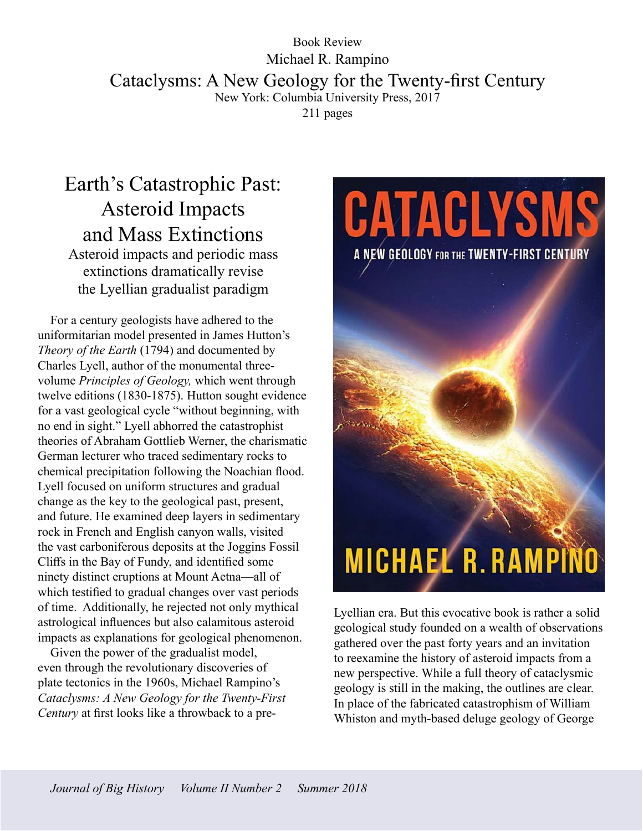## Book Review Michael R. Rampino Cataclysms: A New Geology for the Twenty-first Century New York: Columbia University Press, 2017 211 pages

## Earth's Catastrophic Past: Asteroid Impacts and Mass Extinctions

Asteroid impacts and periodic mass extinctions dramatically revise the Lyellian gradualist paradigm

For a century geologists have adhered to the uniformitarian model presented in James Hutton's *Theory of the Earth* (1794) and documented by Charles Lyell, author of the monumental threevolume *Principles of Geology,* which went through twelve editions (1830-1875). Hutton sought evidence for a vast geological cycle "without beginning, with no end in sight." Lyell abhorred the catastrophist theories of Abraham Gottlieb Werner, the charismatic German lecturer who traced sedimentary rocks to chemical precipitation following the Noachian flood. Lyell focused on uniform structures and gradual change as the key to the geological past, present, and future. He examined deep layers in sedimentary rock in French and English canyon walls, visited the vast carboniferous deposits at the Joggins Fossil Cliffs in the Bay of Fundy, and identified some ninety distinct eruptions at Mount Aetna—all of which testified to gradual changes over vast periods of time. Additionally, he rejected not only mythical astrological influences but also calamitous asteroid impacts as explanations for geological phenomenon.

Given the power of the gradualist model, even through the revolutionary discoveries of plate tectonics in the 1960s, Michael Rampino's *Cataclysms: A New Geology for the Twenty-First Century* at first looks like a throwback to a pre-

CATACLYSMS A NEW GEOLOGY FOR THE TWENTY-FIRST CENTURY **MICHAEL R. RAMPINO** 

Lyellian era. But this evocative book is rather a solid geological study founded on a wealth of observations gathered over the past forty years and an invitation to reexamine the history of asteroid impacts from a new perspective. While a full theory of cataclysmic geology is still in the making, the outlines are clear. In place of the fabricated catastrophism of William Whiston and myth-based deluge geology of George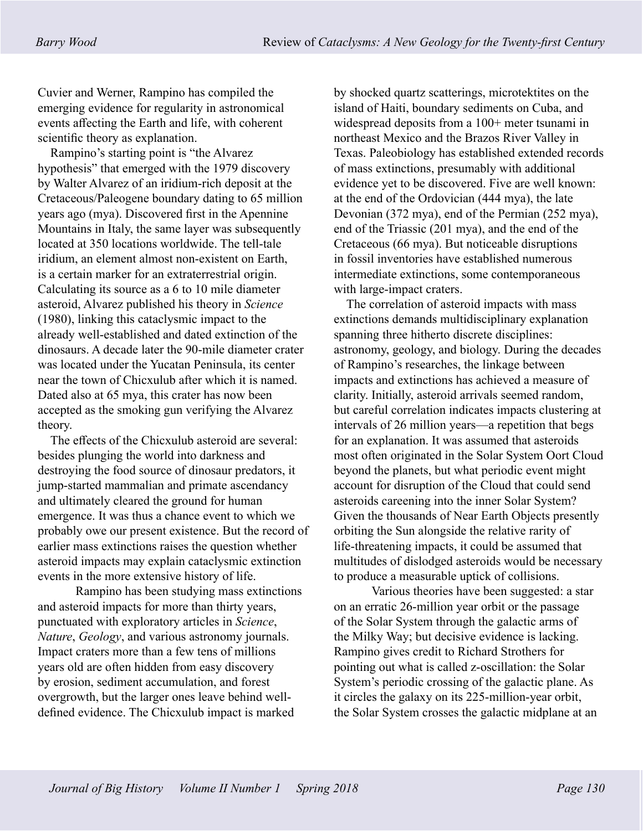Cuvier and Werner, Rampino has compiled the emerging evidence for regularity in astronomical events affecting the Earth and life, with coherent scientific theory as explanation.

Rampino's starting point is "the Alvarez hypothesis" that emerged with the 1979 discovery by Walter Alvarez of an iridium-rich deposit at the Cretaceous/Paleogene boundary dating to 65 million years ago (mya). Discovered first in the Apennine Mountains in Italy, the same layer was subsequently located at 350 locations worldwide. The tell-tale iridium, an element almost non-existent on Earth, is a certain marker for an extraterrestrial origin. Calculating its source as a 6 to 10 mile diameter asteroid, Alvarez published his theory in *Science* (1980), linking this cataclysmic impact to the already well-established and dated extinction of the dinosaurs. A decade later the 90-mile diameter crater was located under the Yucatan Peninsula, its center near the town of Chicxulub after which it is named. Dated also at 65 mya, this crater has now been accepted as the smoking gun verifying the Alvarez theory.

The effects of the Chicxulub asteroid are several: besides plunging the world into darkness and destroying the food source of dinosaur predators, it jump-started mammalian and primate ascendancy and ultimately cleared the ground for human emergence. It was thus a chance event to which we probably owe our present existence. But the record of earlier mass extinctions raises the question whether asteroid impacts may explain cataclysmic extinction events in the more extensive history of life.

Rampino has been studying mass extinctions and asteroid impacts for more than thirty years, punctuated with exploratory articles in *Science*, *Nature*, *Geology*, and various astronomy journals. Impact craters more than a few tens of millions years old are often hidden from easy discovery by erosion, sediment accumulation, and forest overgrowth, but the larger ones leave behind welldefined evidence. The Chicxulub impact is marked

by shocked quartz scatterings, microtektites on the island of Haiti, boundary sediments on Cuba, and widespread deposits from a 100+ meter tsunami in northeast Mexico and the Brazos River Valley in Texas. Paleobiology has established extended records of mass extinctions, presumably with additional evidence yet to be discovered. Five are well known: at the end of the Ordovician (444 mya), the late Devonian (372 mya), end of the Permian (252 mya), end of the Triassic (201 mya), and the end of the Cretaceous (66 mya). But noticeable disruptions in fossil inventories have established numerous intermediate extinctions, some contemporaneous with large-impact craters.

The correlation of asteroid impacts with mass extinctions demands multidisciplinary explanation spanning three hitherto discrete disciplines: astronomy, geology, and biology. During the decades of Rampino's researches, the linkage between impacts and extinctions has achieved a measure of clarity. Initially, asteroid arrivals seemed random, but careful correlation indicates impacts clustering at intervals of 26 million years—a repetition that begs for an explanation. It was assumed that asteroids most often originated in the Solar System Oort Cloud beyond the planets, but what periodic event might account for disruption of the Cloud that could send asteroids careening into the inner Solar System? Given the thousands of Near Earth Objects presently orbiting the Sun alongside the relative rarity of life-threatening impacts, it could be assumed that multitudes of dislodged asteroids would be necessary to produce a measurable uptick of collisions.

Various theories have been suggested: a star on an erratic 26-million year orbit or the passage of the Solar System through the galactic arms of the Milky Way; but decisive evidence is lacking. Rampino gives credit to Richard Strothers for pointing out what is called z-oscillation: the Solar System's periodic crossing of the galactic plane. As it circles the galaxy on its 225-million-year orbit, the Solar System crosses the galactic midplane at an